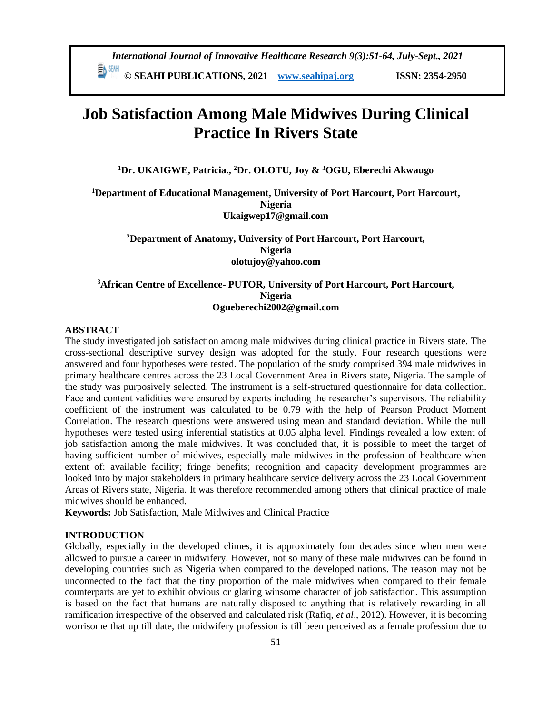**© SEAHI PUBLICATIONS, 2021 [www.seahipaj.org](http://www.seahipaj.org/) ISSN: 2354-2950**

# **Job Satisfaction Among Male Midwives During Clinical Practice In Rivers State**

**<sup>1</sup>Dr. UKAIGWE, Patricia., <sup>2</sup>Dr. OLOTU, Joy & <sup>3</sup>OGU, Eberechi Akwaugo**

**<sup>1</sup>Department of Educational Management, University of Port Harcourt, Port Harcourt, Nigeria [Ukaigwep17@gmail.com](mailto:Ukaigwep17@gmail.com)**

**<sup>2</sup>Department of Anatomy, University of Port Harcourt, Port Harcourt, Nigeria [olotujoy@yahoo.com](mailto:olotujoy@yahoo.com)**

# **<sup>3</sup>African Centre of Excellence- PUTOR, University of Port Harcourt, Port Harcourt, Nigeria Ogueberechi2002@gmail.com**

#### **ABSTRACT**

The study investigated job satisfaction among male midwives during clinical practice in Rivers state. The cross-sectional descriptive survey design was adopted for the study. Four research questions were answered and four hypotheses were tested. The population of the study comprised 394 male midwives in primary healthcare centres across the 23 Local Government Area in Rivers state, Nigeria. The sample of the study was purposively selected. The instrument is a self-structured questionnaire for data collection. Face and content validities were ensured by experts including the researcher's supervisors. The reliability coefficient of the instrument was calculated to be 0.79 with the help of Pearson Product Moment Correlation. The research questions were answered using mean and standard deviation. While the null hypotheses were tested using inferential statistics at 0.05 alpha level. Findings revealed a low extent of job satisfaction among the male midwives. It was concluded that, it is possible to meet the target of having sufficient number of midwives, especially male midwives in the profession of healthcare when extent of: available facility; fringe benefits; recognition and capacity development programmes are looked into by major stakeholders in primary healthcare service delivery across the 23 Local Government Areas of Rivers state, Nigeria. It was therefore recommended among others that clinical practice of male midwives should be enhanced.

**Keywords:** Job Satisfaction, Male Midwives and Clinical Practice

# **INTRODUCTION**

Globally, especially in the developed climes, it is approximately four decades since when men were allowed to pursue a career in midwifery. However, not so many of these male midwives can be found in developing countries such as Nigeria when compared to the developed nations. The reason may not be unconnected to the fact that the tiny proportion of the male midwives when compared to their female counterparts are yet to exhibit obvious or glaring winsome character of job satisfaction. This assumption is based on the fact that humans are naturally disposed to anything that is relatively rewarding in all ramification irrespective of the observed and calculated risk (Rafiq, *et al*., 2012). However, it is becoming worrisome that up till date, the midwifery profession is till been perceived as a female profession due to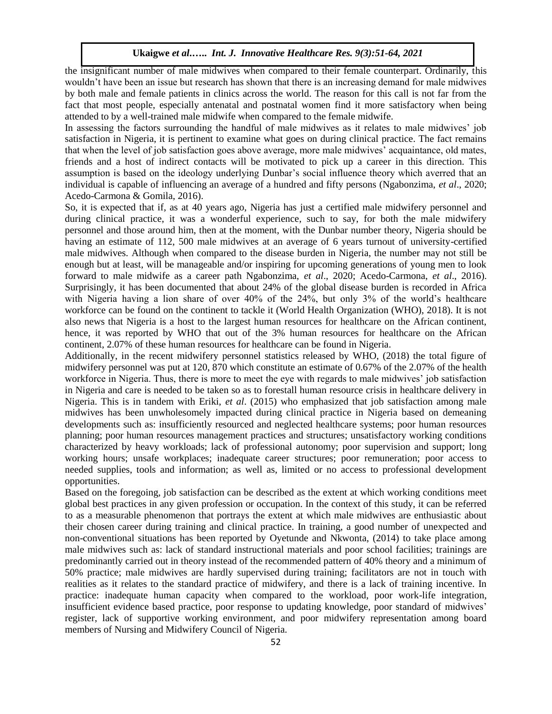the insignificant number of male midwives when compared to their female counterpart. Ordinarily, this wouldn't have been an issue but research has shown that there is an increasing demand for male midwives by both male and female patients in clinics across the world. The reason for this call is not far from the fact that most people, especially antenatal and postnatal women find it more satisfactory when being attended to by a well-trained male midwife when compared to the female midwife.

In assessing the factors surrounding the handful of male midwives as it relates to male midwives' job satisfaction in Nigeria, it is pertinent to examine what goes on during clinical practice. The fact remains that when the level of job satisfaction goes above average, more male midwives' acquaintance, old mates, friends and a host of indirect contacts will be motivated to pick up a career in this direction. This assumption is based on the ideology underlying Dunbar's social influence theory which averred that an individual is capable of influencing an average of a hundred and fifty persons (Ngabonzima, *et al*., 2020; Acedo-Carmona & Gomila, 2016).

So, it is expected that if, as at 40 years ago, Nigeria has just a certified male midwifery personnel and during clinical practice, it was a wonderful experience, such to say, for both the male midwifery personnel and those around him, then at the moment, with the Dunbar number theory, Nigeria should be having an estimate of 112, 500 male midwives at an average of 6 years turnout of university-certified male midwives. Although when compared to the disease burden in Nigeria, the number may not still be enough but at least, will be manageable and/or inspiring for upcoming generations of young men to look forward to male midwife as a career path Ngabonzima, *et al*., 2020; Acedo-Carmona, *et al*., 2016). Surprisingly, it has been documented that about 24% of the global disease burden is recorded in Africa with Nigeria having a lion share of over 40% of the 24%, but only 3% of the world's healthcare workforce can be found on the continent to tackle it (World Health Organization (WHO), 2018). It is not also news that Nigeria is a host to the largest human resources for healthcare on the African continent, hence, it was reported by WHO that out of the 3% human resources for healthcare on the African continent, 2.07% of these human resources for healthcare can be found in Nigeria.

Additionally, in the recent midwifery personnel statistics released by WHO, (2018) the total figure of midwifery personnel was put at 120, 870 which constitute an estimate of 0.67% of the 2.07% of the health workforce in Nigeria. Thus, there is more to meet the eye with regards to male midwives' job satisfaction in Nigeria and care is needed to be taken so as to forestall human resource crisis in healthcare delivery in Nigeria. This is in tandem with Eriki, *et al*. (2015) who emphasized that job satisfaction among male midwives has been unwholesomely impacted during clinical practice in Nigeria based on demeaning developments such as: insufficiently resourced and neglected healthcare systems; poor human resources planning; poor human resources management practices and structures; unsatisfactory working conditions characterized by heavy workloads; lack of professional autonomy; poor supervision and support; long working hours; unsafe workplaces; inadequate career structures; poor remuneration; poor access to needed supplies, tools and information; as well as, limited or no access to professional development opportunities.

Based on the foregoing, job satisfaction can be described as the extent at which working conditions meet global best practices in any given profession or occupation. In the context of this study, it can be referred to as a measurable phenomenon that portrays the extent at which male midwives are enthusiastic about their chosen career during training and clinical practice. In training, a good number of unexpected and non-conventional situations has been reported by Oyetunde and Nkwonta, (2014) to take place among male midwives such as: lack of standard instructional materials and poor school facilities; trainings are predominantly carried out in theory instead of the recommended pattern of 40% theory and a minimum of 50% practice; male midwives are hardly supervised during training; facilitators are not in touch with realities as it relates to the standard practice of midwifery, and there is a lack of training incentive. In practice: inadequate human capacity when compared to the workload, poor work-life integration, insufficient evidence based practice, poor response to updating knowledge, poor standard of midwives' register, lack of supportive working environment, and poor midwifery representation among board members of Nursing and Midwifery Council of Nigeria.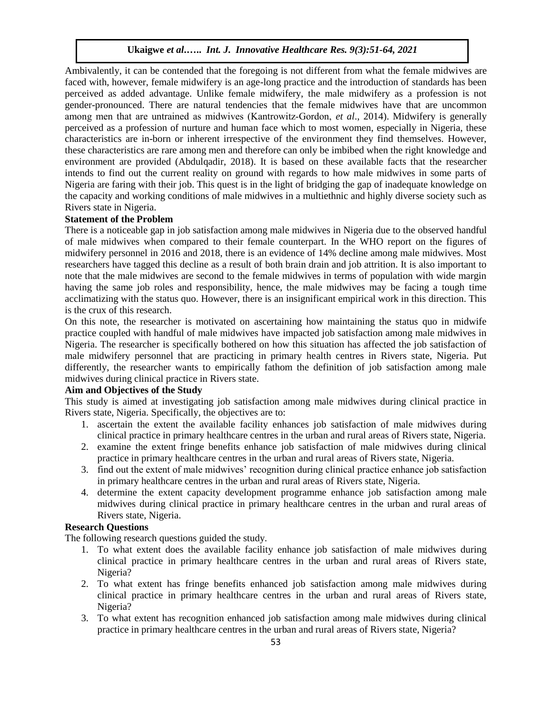Ambivalently, it can be contended that the foregoing is not different from what the female midwives are faced with, however, female midwifery is an age-long practice and the introduction of standards has been perceived as added advantage. Unlike female midwifery, the male midwifery as a profession is not gender-pronounced. There are natural tendencies that the female midwives have that are uncommon among men that are untrained as midwives (Kantrowitz‐Gordon, *et al*., 2014). Midwifery is generally perceived as a profession of nurture and human face which to most women, especially in Nigeria, these characteristics are in-born or inherent irrespective of the environment they find themselves. However, these characteristics are rare among men and therefore can only be imbibed when the right knowledge and environment are provided (Abdulqadir, 2018). It is based on these available facts that the researcher intends to find out the current reality on ground with regards to how male midwives in some parts of Nigeria are faring with their job. This quest is in the light of bridging the gap of inadequate knowledge on the capacity and working conditions of male midwives in a multiethnic and highly diverse society such as Rivers state in Nigeria.

## **Statement of the Problem**

There is a noticeable gap in job satisfaction among male midwives in Nigeria due to the observed handful of male midwives when compared to their female counterpart. In the WHO report on the figures of midwifery personnel in 2016 and 2018, there is an evidence of 14% decline among male midwives. Most researchers have tagged this decline as a result of both brain drain and job attrition. It is also important to note that the male midwives are second to the female midwives in terms of population with wide margin having the same job roles and responsibility, hence, the male midwives may be facing a tough time acclimatizing with the status quo. However, there is an insignificant empirical work in this direction. This is the crux of this research.

On this note, the researcher is motivated on ascertaining how maintaining the status quo in midwife practice coupled with handful of male midwives have impacted job satisfaction among male midwives in Nigeria. The researcher is specifically bothered on how this situation has affected the job satisfaction of male midwifery personnel that are practicing in primary health centres in Rivers state, Nigeria. Put differently, the researcher wants to empirically fathom the definition of job satisfaction among male midwives during clinical practice in Rivers state.

#### **Aim and Objectives of the Study**

This study is aimed at investigating job satisfaction among male midwives during clinical practice in Rivers state, Nigeria. Specifically, the objectives are to:

- 1. ascertain the extent the available facility enhances job satisfaction of male midwives during clinical practice in primary healthcare centres in the urban and rural areas of Rivers state, Nigeria.
- 2. examine the extent fringe benefits enhance job satisfaction of male midwives during clinical practice in primary healthcare centres in the urban and rural areas of Rivers state, Nigeria.
- 3. find out the extent of male midwives' recognition during clinical practice enhance job satisfaction in primary healthcare centres in the urban and rural areas of Rivers state, Nigeria.
- 4. determine the extent capacity development programme enhance job satisfaction among male midwives during clinical practice in primary healthcare centres in the urban and rural areas of Rivers state, Nigeria.

# **Research Questions**

The following research questions guided the study.

- 1. To what extent does the available facility enhance job satisfaction of male midwives during clinical practice in primary healthcare centres in the urban and rural areas of Rivers state, Nigeria?
- 2. To what extent has fringe benefits enhanced job satisfaction among male midwives during clinical practice in primary healthcare centres in the urban and rural areas of Rivers state, Nigeria?
- 3. To what extent has recognition enhanced job satisfaction among male midwives during clinical practice in primary healthcare centres in the urban and rural areas of Rivers state, Nigeria?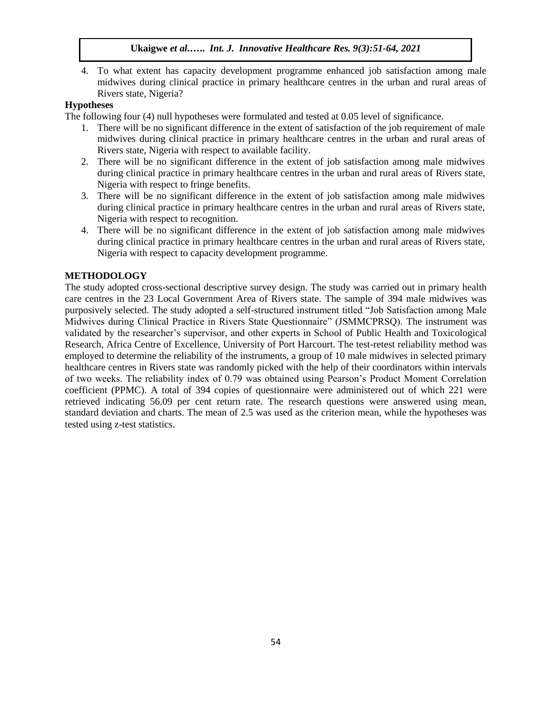4. To what extent has capacity development programme enhanced job satisfaction among male midwives during clinical practice in primary healthcare centres in the urban and rural areas of Rivers state, Nigeria?

# **Hypotheses**

The following four (4) null hypotheses were formulated and tested at 0.05 level of significance.

- 1. There will be no significant difference in the extent of satisfaction of the job requirement of male midwives during clinical practice in primary healthcare centres in the urban and rural areas of Rivers state, Nigeria with respect to available facility.
- 2. There will be no significant difference in the extent of job satisfaction among male midwives during clinical practice in primary healthcare centres in the urban and rural areas of Rivers state, Nigeria with respect to fringe benefits.
- 3. There will be no significant difference in the extent of job satisfaction among male midwives during clinical practice in primary healthcare centres in the urban and rural areas of Rivers state, Nigeria with respect to recognition.
- 4. There will be no significant difference in the extent of job satisfaction among male midwives during clinical practice in primary healthcare centres in the urban and rural areas of Rivers state, Nigeria with respect to capacity development programme.

## **METHODOLOGY**

The study adopted cross-sectional descriptive survey design. The study was carried out in primary health care centres in the 23 Local Government Area of Rivers state. The sample of 394 male midwives was purposively selected. The study adopted a self-structured instrument titled "Job Satisfaction among Male Midwives during Clinical Practice in Rivers State Questionnaire" (JSMMCPRSQ). The instrument was validated by the researcher's supervisor, and other experts in School of Public Health and Toxicological Research, Africa Centre of Excellence, University of Port Harcourt. The test-retest reliability method was employed to determine the reliability of the instruments, a group of 10 male midwives in selected primary healthcare centres in Rivers state was randomly picked with the help of their coordinators within intervals of two weeks. The reliability index of 0.79 was obtained using Pearson's Product Moment Correlation coefficient (PPMC). A total of 394 copies of questionnaire were administered out of which 221 were retrieved indicating 56.09 per cent return rate. The research questions were answered using mean, standard deviation and charts. The mean of 2.5 was used as the criterion mean, while the hypotheses was tested using z-test statistics.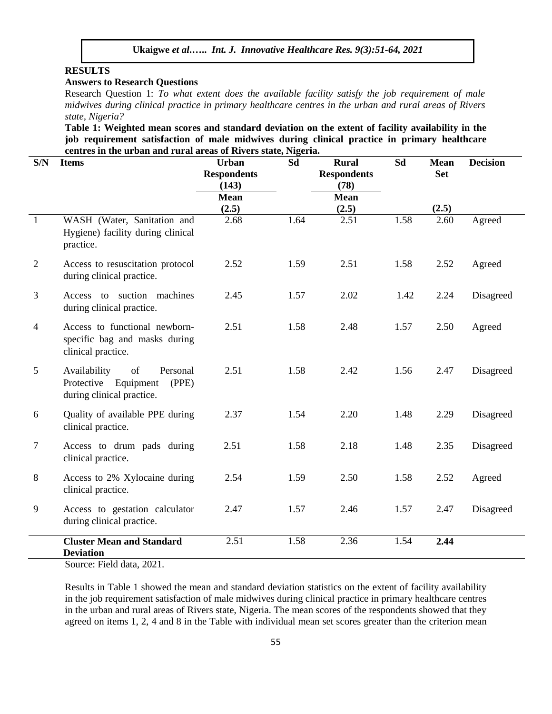# **RESULTS**

## **Answers to Research Questions**

Research Question 1: *To what extent does the available facility satisfy the job requirement of male midwives during clinical practice in primary healthcare centres in the urban and rural areas of Rivers state, Nigeria?*

**Table 1: Weighted mean scores and standard deviation on the extent of facility availability in the job requirement satisfaction of male midwives during clinical practice in primary healthcare centres in the urban and rural areas of Rivers state, Nigeria.**

| S/N             | <b>Items</b>                                                                                 | <b>Urban</b><br><b>Respondents</b><br>(143)<br><b>Mean</b> | Sd   | <b>Rural</b><br><b>Respondents</b><br>(78)<br><b>Mean</b> | Sd   | <b>Mean</b><br><b>Set</b> | <b>Decision</b> |
|-----------------|----------------------------------------------------------------------------------------------|------------------------------------------------------------|------|-----------------------------------------------------------|------|---------------------------|-----------------|
| $\overline{1}$  | WASH (Water, Sanitation and<br>Hygiene) facility during clinical<br>practice.                | (2.5)<br>2.68                                              | 1.64 | (2.5)<br>2.51                                             | 1.58 | (2.5)<br>2.60             | Agreed          |
| 2               | Access to resuscitation protocol<br>during clinical practice.                                | 2.52                                                       | 1.59 | 2.51                                                      | 1.58 | 2.52                      | Agreed          |
| 3               | Access to suction machines<br>during clinical practice.                                      | 2.45                                                       | 1.57 | 2.02                                                      | 1.42 | 2.24                      | Disagreed       |
| $\overline{4}$  | Access to functional newborn-<br>specific bag and masks during<br>clinical practice.         | 2.51                                                       | 1.58 | 2.48                                                      | 1.57 | 2.50                      | Agreed          |
| $5\overline{)}$ | Availability<br>of<br>Personal<br>Protective Equipment<br>(PPE)<br>during clinical practice. | 2.51                                                       | 1.58 | 2.42                                                      | 1.56 | 2.47                      | Disagreed       |
| 6               | Quality of available PPE during<br>clinical practice.                                        | 2.37                                                       | 1.54 | 2.20                                                      | 1.48 | 2.29                      | Disagreed       |
| $\overline{7}$  | Access to drum pads during<br>clinical practice.                                             | 2.51                                                       | 1.58 | 2.18                                                      | 1.48 | 2.35                      | Disagreed       |
| 8               | Access to 2% Xylocaine during<br>clinical practice.                                          | 2.54                                                       | 1.59 | 2.50                                                      | 1.58 | 2.52                      | Agreed          |
| 9               | Access to gestation calculator<br>during clinical practice.                                  | 2.47                                                       | 1.57 | 2.46                                                      | 1.57 | 2.47                      | Disagreed       |
|                 | <b>Cluster Mean and Standard</b><br><b>Deviation</b>                                         | 2.51                                                       | 1.58 | 2.36                                                      | 1.54 | 2.44                      |                 |

Source: Field data, 2021.

Results in Table 1 showed the mean and standard deviation statistics on the extent of facility availability in the job requirement satisfaction of male midwives during clinical practice in primary healthcare centres in the urban and rural areas of Rivers state, Nigeria. The mean scores of the respondents showed that they agreed on items 1, 2, 4 and 8 in the Table with individual mean set scores greater than the criterion mean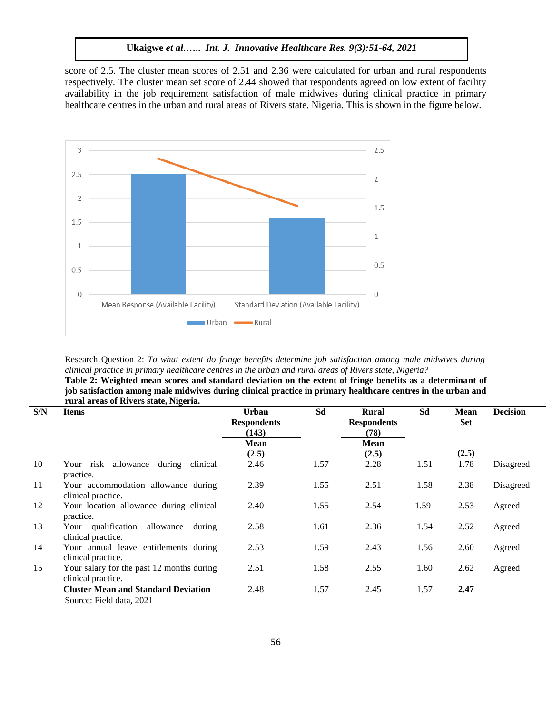score of 2.5. The cluster mean scores of 2.51 and 2.36 were calculated for urban and rural respondents respectively. The cluster mean set score of 2.44 showed that respondents agreed on low extent of facility availability in the job requirement satisfaction of male midwives during clinical practice in primary healthcare centres in the urban and rural areas of Rivers state, Nigeria. This is shown in the figure below.



Research Question 2: *To what extent do fringe benefits determine job satisfaction among male midwives during clinical practice in primary healthcare centres in the urban and rural areas of Rivers state, Nigeria?* **Table 2: Weighted mean scores and standard deviation on the extent of fringe benefits as a determinant of job satisfaction among male midwives during clinical practice in primary healthcare centres in the urban and** 

|     | rural areas of Rivers state, Nigeria.                           |                                             |      |                                     |      |                    |                 |
|-----|-----------------------------------------------------------------|---------------------------------------------|------|-------------------------------------|------|--------------------|-----------------|
| S/N | <b>Items</b>                                                    | <b>Urban</b><br><b>Respondents</b><br>(143) | Sd   | Rural<br><b>Respondents</b><br>(78) | Sd   | Mean<br><b>Set</b> | <b>Decision</b> |
|     |                                                                 | <b>Mean</b>                                 |      | <b>Mean</b>                         |      |                    |                 |
|     |                                                                 | (2.5)                                       |      | (2.5)                               |      | (2.5)              |                 |
| 10  | during<br>allowance<br>clinical<br>risk<br>Your<br>practice.    | 2.46                                        | 1.57 | 2.28                                | 1.51 | 1.78               | Disagreed       |
| 11  | Your accommodation allowance during<br>clinical practice.       | 2.39                                        | 1.55 | 2.51                                | 1.58 | 2.38               | Disagreed       |
| 12  | Your location allowance during clinical<br>practice.            | 2.40                                        | 1.55 | 2.54                                | 1.59 | 2.53               | Agreed          |
| 13  | Your qualification allowance<br>during<br>clinical practice.    | 2.58                                        | 1.61 | 2.36                                | 1.54 | 2.52               | Agreed          |
| 14  | Your annual leave entitlements during<br>clinical practice.     | 2.53                                        | 1.59 | 2.43                                | 1.56 | 2.60               | Agreed          |
| 15  | Your salary for the past 12 months during<br>clinical practice. | 2.51                                        | 1.58 | 2.55                                | 1.60 | 2.62               | Agreed          |
|     | <b>Cluster Mean and Standard Deviation</b>                      | 2.48                                        | 1.57 | 2.45                                | 1.57 | 2.47               |                 |
|     | Source: Field data, 2021                                        |                                             |      |                                     |      |                    |                 |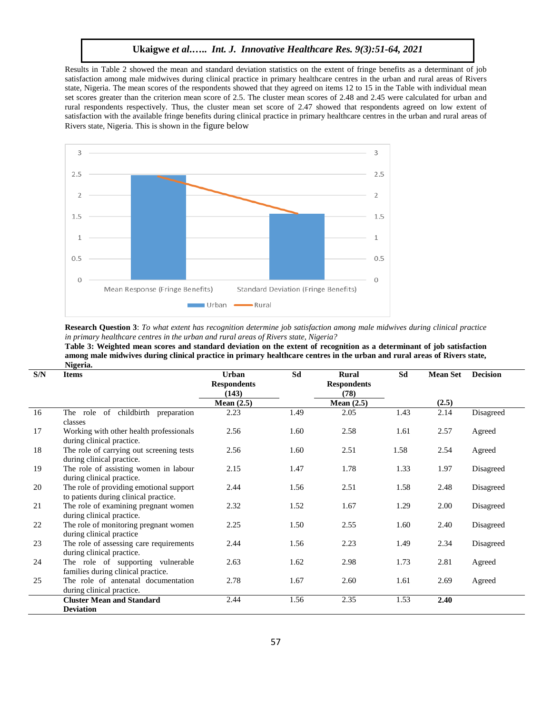Results in Table 2 showed the mean and standard deviation statistics on the extent of fringe benefits as a determinant of job satisfaction among male midwives during clinical practice in primary healthcare centres in the urban and rural areas of Rivers state, Nigeria. The mean scores of the respondents showed that they agreed on items 12 to 15 in the Table with individual mean set scores greater than the criterion mean score of 2.5. The cluster mean scores of 2.48 and 2.45 were calculated for urban and rural respondents respectively. Thus, the cluster mean set score of 2.47 showed that respondents agreed on low extent of satisfaction with the available fringe benefits during clinical practice in primary healthcare centres in the urban and rural areas of Rivers state, Nigeria. This is shown in the figure below



**Research Question 3**: *To what extent has recognition determine job satisfaction among male midwives during clinical practice in primary healthcare centres in the urban and rural areas of Rivers state, Nigeria?*

**Table 3: Weighted mean scores and standard deviation on the extent of recognition as a determinant of job satisfaction among male midwives during clinical practice in primary healthcare centres in the urban and rural areas of Rivers state, Nigeria.**

| S/N | <b>Items</b>                                                                     | <b>Urban</b>                | Sd   | <b>Rural</b>         | Sd   | <b>Mean Set</b> | <b>Decision</b> |
|-----|----------------------------------------------------------------------------------|-----------------------------|------|----------------------|------|-----------------|-----------------|
|     |                                                                                  | <b>Respondents</b><br>(143) |      | <b>Respondents</b>   |      |                 |                 |
|     |                                                                                  | Mean $(2.5)$                |      | (78)<br>Mean $(2.5)$ |      | (2.5)           |                 |
| 16  | The role of childbirth<br>preparation                                            | 2.23                        | 1.49 | 2.05                 | 1.43 | 2.14            | Disagreed       |
|     | classes                                                                          |                             |      |                      |      |                 |                 |
| 17  | Working with other health professionals<br>during clinical practice.             | 2.56                        | 1.60 | 2.58                 | 1.61 | 2.57            | Agreed          |
| 18  | The role of carrying out screening tests<br>during clinical practice.            | 2.56                        | 1.60 | 2.51                 | 1.58 | 2.54            | Agreed          |
| 19  | The role of assisting women in labour<br>during clinical practice.               | 2.15                        | 1.47 | 1.78                 | 1.33 | 1.97            | Disagreed       |
| 20  | The role of providing emotional support<br>to patients during clinical practice. | 2.44                        | 1.56 | 2.51                 | 1.58 | 2.48            | Disagreed       |
| 21  | The role of examining pregnant women<br>during clinical practice.                | 2.32                        | 1.52 | 1.67                 | 1.29 | 2.00            | Disagreed       |
| 22  | The role of monitoring pregnant women<br>during clinical practice                | 2.25                        | 1.50 | 2.55                 | 1.60 | 2.40            | Disagreed       |
| 23  | The role of assessing care requirements<br>during clinical practice.             | 2.44                        | 1.56 | 2.23                 | 1.49 | 2.34            | Disagreed       |
| 24  | The role of supporting vulnerable<br>families during clinical practice.          | 2.63                        | 1.62 | 2.98                 | 1.73 | 2.81            | Agreed          |
| 25  | The role of antenatal documentation<br>during clinical practice.                 | 2.78                        | 1.67 | 2.60                 | 1.61 | 2.69            | Agreed          |
|     | <b>Cluster Mean and Standard</b>                                                 | 2.44                        | 1.56 | 2.35                 | 1.53 | 2.40            |                 |
|     | <b>Deviation</b>                                                                 |                             |      |                      |      |                 |                 |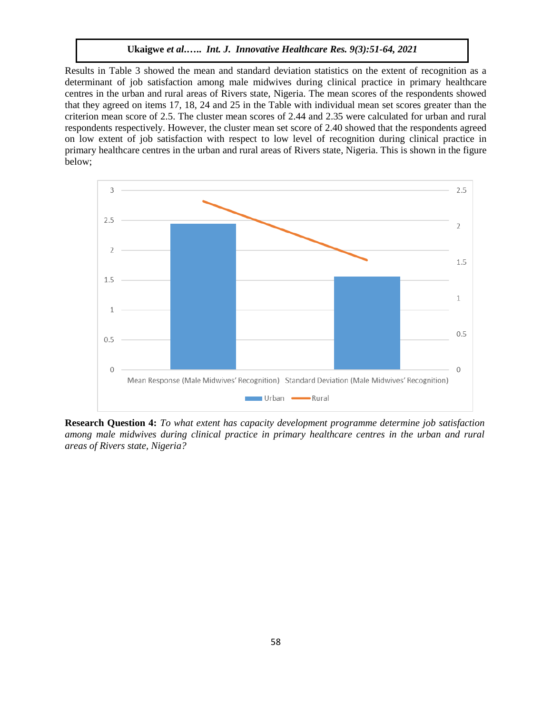Results in Table 3 showed the mean and standard deviation statistics on the extent of recognition as a determinant of job satisfaction among male midwives during clinical practice in primary healthcare centres in the urban and rural areas of Rivers state, Nigeria. The mean scores of the respondents showed that they agreed on items 17, 18, 24 and 25 in the Table with individual mean set scores greater than the criterion mean score of 2.5. The cluster mean scores of 2.44 and 2.35 were calculated for urban and rural respondents respectively. However, the cluster mean set score of 2.40 showed that the respondents agreed on low extent of job satisfaction with respect to low level of recognition during clinical practice in primary healthcare centres in the urban and rural areas of Rivers state, Nigeria. This is shown in the figure below;



**Research Question 4:** *To what extent has capacity development programme determine job satisfaction among male midwives during clinical practice in primary healthcare centres in the urban and rural areas of Rivers state, Nigeria?*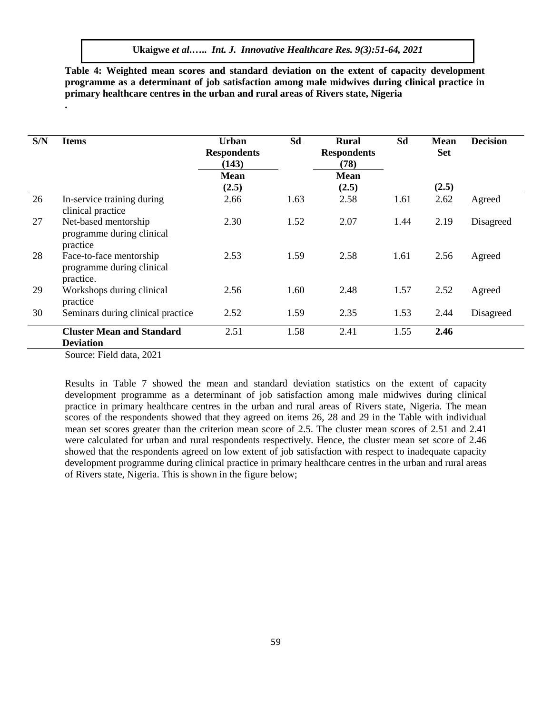**Table 4: Weighted mean scores and standard deviation on the extent of capacity development programme as a determinant of job satisfaction among male midwives during clinical practice in primary healthcare centres in the urban and rural areas of Rivers state, Nigeria**

| S/N | <b>Items</b>                                                      | Urban<br><b>Respondents</b><br>(143) | Sd   | <b>Rural</b><br><b>Respondents</b><br>(78) | Sd   | <b>Mean</b><br><b>Set</b> | <b>Decision</b> |
|-----|-------------------------------------------------------------------|--------------------------------------|------|--------------------------------------------|------|---------------------------|-----------------|
|     |                                                                   | <b>Mean</b>                          |      | <b>Mean</b>                                |      |                           |                 |
|     |                                                                   | (2.5)                                |      | (2.5)                                      |      | (2.5)                     |                 |
| 26  | In-service training during<br>clinical practice                   | 2.66                                 | 1.63 | 2.58                                       | 1.61 | 2.62                      | Agreed          |
| 27  | Net-based mentorship<br>programme during clinical<br>practice     | 2.30                                 | 1.52 | 2.07                                       | 1.44 | 2.19                      | Disagreed       |
| 28  | Face-to-face mentorship<br>programme during clinical<br>practice. | 2.53                                 | 1.59 | 2.58                                       | 1.61 | 2.56                      | Agreed          |
| 29  | Workshops during clinical<br>practice                             | 2.56                                 | 1.60 | 2.48                                       | 1.57 | 2.52                      | Agreed          |
| 30  | Seminars during clinical practice                                 | 2.52                                 | 1.59 | 2.35                                       | 1.53 | 2.44                      | Disagreed       |
|     | <b>Cluster Mean and Standard</b><br><b>Deviation</b>              | 2.51                                 | 1.58 | 2.41                                       | 1.55 | 2.46                      |                 |
|     | $\Gamma_{\alpha\alpha\beta\alpha}$ , Eight data $2021$            |                                      |      |                                            |      |                           |                 |

Source: Field data, 2021

**.**

Results in Table 7 showed the mean and standard deviation statistics on the extent of capacity development programme as a determinant of job satisfaction among male midwives during clinical practice in primary healthcare centres in the urban and rural areas of Rivers state, Nigeria. The mean scores of the respondents showed that they agreed on items 26, 28 and 29 in the Table with individual mean set scores greater than the criterion mean score of 2.5. The cluster mean scores of 2.51 and 2.41 were calculated for urban and rural respondents respectively. Hence, the cluster mean set score of 2.46 showed that the respondents agreed on low extent of job satisfaction with respect to inadequate capacity development programme during clinical practice in primary healthcare centres in the urban and rural areas of Rivers state, Nigeria. This is shown in the figure below;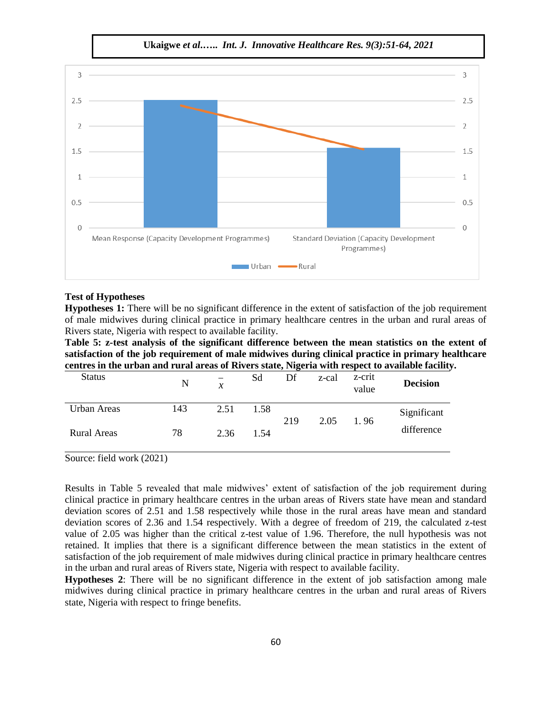$\overline{3}$  $\overline{3}$ 2.5 2.5  $\overline{\phantom{a}}$  $\overline{2}$ 1.5 1.5  $\mathbf{1}$  $\mathbf{1}$  $0.5$  $0.5$  $\overline{0}$  $\overline{0}$ Mean Response (Capacity Development Programmes) **Standard Deviation (Capacity Development** Programmes)  $Urban =$ -Rural

#### **Test of Hypotheses**

**Hypotheses 1:** There will be no significant difference in the extent of satisfaction of the job requirement of male midwives during clinical practice in primary healthcare centres in the urban and rural areas of Rivers state, Nigeria with respect to available facility.

**Table 5: z-test analysis of the significant difference between the mean statistics on the extent of satisfaction of the job requirement of male midwives during clinical practice in primary healthcare centres in the urban and rural areas of Rivers state, Nigeria with respect to available facility.**

| <b>Status</b>      | N   | -<br>$\mathcal{X}$ | Sd   | Df  | z-cal | z-crit<br>value | <b>Decision</b> |
|--------------------|-----|--------------------|------|-----|-------|-----------------|-----------------|
| Urban Areas        | 143 | 2.51               | 1.58 | 219 | 2.05  | 1.96            | Significant     |
| <b>Rural Areas</b> | 78  | 2.36               | 1.54 |     |       |                 | difference      |

Source: field work (2021)

Results in Table 5 revealed that male midwives' extent of satisfaction of the job requirement during clinical practice in primary healthcare centres in the urban areas of Rivers state have mean and standard deviation scores of 2.51 and 1.58 respectively while those in the rural areas have mean and standard deviation scores of 2.36 and 1.54 respectively. With a degree of freedom of 219, the calculated z-test value of 2.05 was higher than the critical z-test value of 1.96. Therefore, the null hypothesis was not retained. It implies that there is a significant difference between the mean statistics in the extent of satisfaction of the job requirement of male midwives during clinical practice in primary healthcare centres in the urban and rural areas of Rivers state, Nigeria with respect to available facility.

**Hypotheses 2**: There will be no significant difference in the extent of job satisfaction among male midwives during clinical practice in primary healthcare centres in the urban and rural areas of Rivers state, Nigeria with respect to fringe benefits.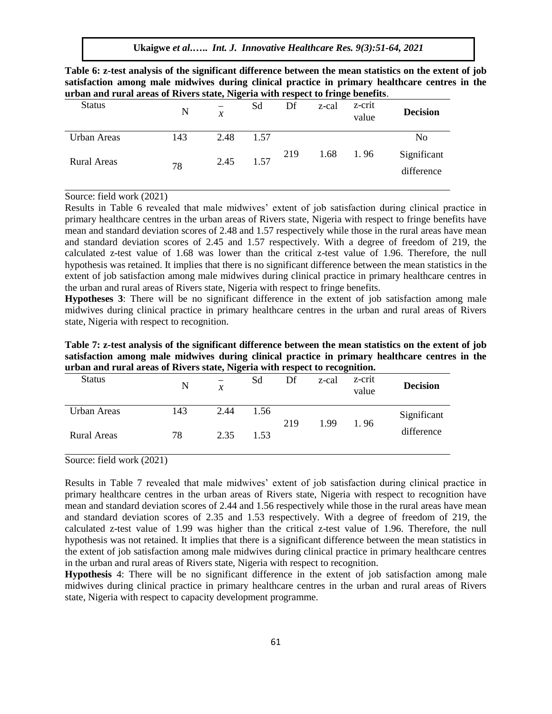| sausiacuon among maie miuwives uuring cinncar practice in primary nearincare centres<br>urban and rural areas of Rivers state, Nigeria with respect to fringe benefits. |     |      |           |    |               |                 |                 |
|-------------------------------------------------------------------------------------------------------------------------------------------------------------------------|-----|------|-----------|----|---------------|-----------------|-----------------|
| <b>Status</b>                                                                                                                                                           | N   |      | Sd        | Df | z-cal         | z-crit<br>value | <b>Decision</b> |
| Urban Areas                                                                                                                                                             | 143 | 2.48 | 1.57      |    |               |                 | N <sub>0</sub>  |
| Rural Areas                                                                                                                                                             | 78  |      | 2.45 1.57 |    | 219 1.68 1.96 |                 | Significant     |
|                                                                                                                                                                         |     |      |           |    |               |                 | difference      |

**Table 6: z-test analysis of the significant difference between the mean statistics on the extent of job satisfaction among male midwives during clinical practice in primary healthcare centres in the** 

Source: field work (2021)

Results in Table 6 revealed that male midwives' extent of job satisfaction during clinical practice in primary healthcare centres in the urban areas of Rivers state, Nigeria with respect to fringe benefits have mean and standard deviation scores of 2.48 and 1.57 respectively while those in the rural areas have mean and standard deviation scores of 2.45 and 1.57 respectively. With a degree of freedom of 219, the calculated z-test value of 1.68 was lower than the critical z-test value of 1.96. Therefore, the null hypothesis was retained. It implies that there is no significant difference between the mean statistics in the extent of job satisfaction among male midwives during clinical practice in primary healthcare centres in the urban and rural areas of Rivers state, Nigeria with respect to fringe benefits.

**Hypotheses 3**: There will be no significant difference in the extent of job satisfaction among male midwives during clinical practice in primary healthcare centres in the urban and rural areas of Rivers state, Nigeria with respect to recognition.

| Table 7: z-test analysis of the significant difference between the mean statistics on the extent of job |
|---------------------------------------------------------------------------------------------------------|
| satisfaction among male midwives during clinical practice in primary healthcare centres in the          |
| urban and rural areas of Rivers state, Nigeria with respect to recognition.                             |

| <b>Status</b>      | N   | $\mathcal{X}$ | Sd   | Df  | z-cal | z-crit<br>value | <b>Decision</b> |
|--------------------|-----|---------------|------|-----|-------|-----------------|-----------------|
| Urban Areas        | 143 | 2.44          | 1.56 | 219 | 1.99  | 1.96            | Significant     |
| <b>Rural Areas</b> | 78  | 2.35          | 1.53 |     |       |                 | difference      |

Source: field work (2021)

Results in Table 7 revealed that male midwives' extent of job satisfaction during clinical practice in primary healthcare centres in the urban areas of Rivers state, Nigeria with respect to recognition have mean and standard deviation scores of 2.44 and 1.56 respectively while those in the rural areas have mean and standard deviation scores of 2.35 and 1.53 respectively. With a degree of freedom of 219, the calculated z-test value of 1.99 was higher than the critical z-test value of 1.96. Therefore, the null hypothesis was not retained. It implies that there is a significant difference between the mean statistics in the extent of job satisfaction among male midwives during clinical practice in primary healthcare centres in the urban and rural areas of Rivers state, Nigeria with respect to recognition.

**Hypothesis** 4: There will be no significant difference in the extent of job satisfaction among male midwives during clinical practice in primary healthcare centres in the urban and rural areas of Rivers state, Nigeria with respect to capacity development programme.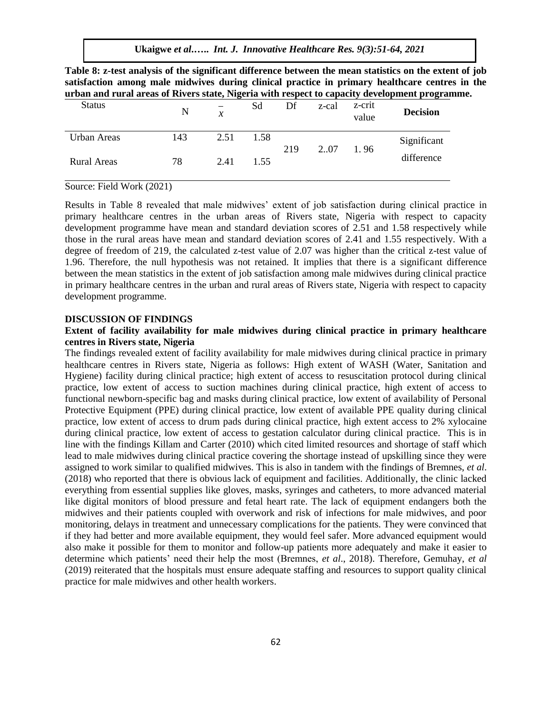|               |                          |    |    |       |                           | Table 8: z-test analysis of the significant difference between the mean statistics on the extent of job<br>satisfaction among male midwives during clinical practice in primary healthcare centres in the |  |
|---------------|--------------------------|----|----|-------|---------------------------|-----------------------------------------------------------------------------------------------------------------------------------------------------------------------------------------------------------|--|
|               |                          |    |    |       |                           | urban and rural areas of Rivers state, Nigeria with respect to capacity development programme.                                                                                                            |  |
| <b>Status</b> | $\overline{\phantom{0}}$ | Sd | Df | z-cal | z-crit<br>$\sim$ $\sim$ 1 | <b>Decision</b>                                                                                                                                                                                           |  |

| Status      | N   | $\mathcal{X}$ | Sа   | DΓ  | z-cai | Z-CIIU<br>value | <b>Decision</b> |
|-------------|-----|---------------|------|-----|-------|-----------------|-----------------|
| Urban Areas | 143 | 2.51          | 1.58 | 219 | 207   | 1.96            | Significant     |
| Rural Areas | 78  | 2.41          | 1.55 |     |       |                 | difference      |

Source: Field Work (2021)

Results in Table 8 revealed that male midwives' extent of job satisfaction during clinical practice in primary healthcare centres in the urban areas of Rivers state, Nigeria with respect to capacity development programme have mean and standard deviation scores of 2.51 and 1.58 respectively while those in the rural areas have mean and standard deviation scores of 2.41 and 1.55 respectively. With a degree of freedom of 219, the calculated z-test value of 2.07 was higher than the critical z-test value of 1.96. Therefore, the null hypothesis was not retained. It implies that there is a significant difference between the mean statistics in the extent of job satisfaction among male midwives during clinical practice in primary healthcare centres in the urban and rural areas of Rivers state, Nigeria with respect to capacity development programme.

#### **DISCUSSION OF FINDINGS**

## **Extent of facility availability for male midwives during clinical practice in primary healthcare centres in Rivers state, Nigeria**

The findings revealed extent of facility availability for male midwives during clinical practice in primary healthcare centres in Rivers state, Nigeria as follows: High extent of WASH (Water, Sanitation and Hygiene) facility during clinical practice; high extent of access to resuscitation protocol during clinical practice, low extent of access to suction machines during clinical practice, high extent of access to functional newborn-specific bag and masks during clinical practice, low extent of availability of Personal Protective Equipment (PPE) during clinical practice, low extent of available PPE quality during clinical practice, low extent of access to drum pads during clinical practice, high extent access to 2% xylocaine during clinical practice, low extent of access to gestation calculator during clinical practice. This is in line with the findings Killam and Carter (2010) which cited limited resources and shortage of staff which lead to male midwives during clinical practice covering the shortage instead of upskilling since they were assigned to work similar to qualified midwives. This is also in tandem with the findings of Bremnes, *et al*. (2018) who reported that there is obvious lack of equipment and facilities. Additionally, the clinic lacked everything from essential supplies like gloves, masks, syringes and catheters, to more advanced material like digital monitors of blood pressure and fetal heart rate. The lack of equipment endangers both the midwives and their patients coupled with overwork and risk of infections for male midwives, and poor monitoring, delays in treatment and unnecessary complications for the patients. They were convinced that if they had better and more available equipment, they would feel safer. More advanced equipment would also make it possible for them to monitor and follow-up patients more adequately and make it easier to determine which patients' need their help the most (Bremnes, *et al*., 2018). Therefore, Gemuhay, *et al* (2019) reiterated that the hospitals must ensure adequate staffing and resources to support quality clinical practice for male midwives and other health workers.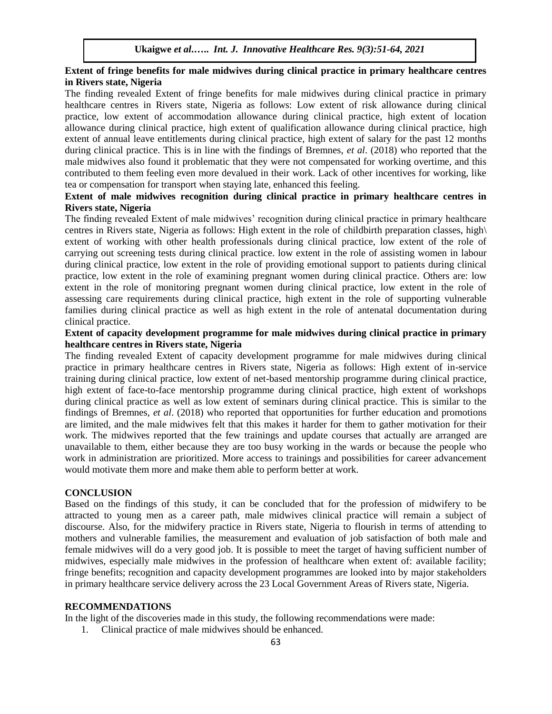## **Extent of fringe benefits for male midwives during clinical practice in primary healthcare centres in Rivers state, Nigeria**

The finding revealed Extent of fringe benefits for male midwives during clinical practice in primary healthcare centres in Rivers state, Nigeria as follows: Low extent of risk allowance during clinical practice, low extent of accommodation allowance during clinical practice, high extent of location allowance during clinical practice, high extent of qualification allowance during clinical practice, high extent of annual leave entitlements during clinical practice, high extent of salary for the past 12 months during clinical practice. This is in line with the findings of Bremnes, *et al*. (2018) who reported that the male midwives also found it problematic that they were not compensated for working overtime, and this contributed to them feeling even more devalued in their work. Lack of other incentives for working, like tea or compensation for transport when staying late, enhanced this feeling.

# **Extent of male midwives recognition during clinical practice in primary healthcare centres in Rivers state, Nigeria**

The finding revealed Extent of male midwives' recognition during clinical practice in primary healthcare centres in Rivers state, Nigeria as follows: High extent in the role of childbirth preparation classes, high\ extent of working with other health professionals during clinical practice, low extent of the role of carrying out screening tests during clinical practice. low extent in the role of assisting women in labour during clinical practice, low extent in the role of providing emotional support to patients during clinical practice, low extent in the role of examining pregnant women during clinical practice. Others are: low extent in the role of monitoring pregnant women during clinical practice, low extent in the role of assessing care requirements during clinical practice, high extent in the role of supporting vulnerable families during clinical practice as well as high extent in the role of antenatal documentation during clinical practice.

# **Extent of capacity development programme for male midwives during clinical practice in primary healthcare centres in Rivers state, Nigeria**

The finding revealed Extent of capacity development programme for male midwives during clinical practice in primary healthcare centres in Rivers state, Nigeria as follows: High extent of in-service training during clinical practice, low extent of net-based mentorship programme during clinical practice, high extent of face-to-face mentorship programme during clinical practice, high extent of workshops during clinical practice as well as low extent of seminars during clinical practice. This is similar to the findings of Bremnes, *et al*. (2018) who reported that opportunities for further education and promotions are limited, and the male midwives felt that this makes it harder for them to gather motivation for their work. The midwives reported that the few trainings and update courses that actually are arranged are unavailable to them, either because they are too busy working in the wards or because the people who work in administration are prioritized. More access to trainings and possibilities for career advancement would motivate them more and make them able to perform better at work.

#### **CONCLUSION**

Based on the findings of this study, it can be concluded that for the profession of midwifery to be attracted to young men as a career path, male midwives clinical practice will remain a subject of discourse. Also, for the midwifery practice in Rivers state, Nigeria to flourish in terms of attending to mothers and vulnerable families, the measurement and evaluation of job satisfaction of both male and female midwives will do a very good job. It is possible to meet the target of having sufficient number of midwives, especially male midwives in the profession of healthcare when extent of: available facility; fringe benefits; recognition and capacity development programmes are looked into by major stakeholders in primary healthcare service delivery across the 23 Local Government Areas of Rivers state, Nigeria.

#### **RECOMMENDATIONS**

In the light of the discoveries made in this study, the following recommendations were made:

1. Clinical practice of male midwives should be enhanced.